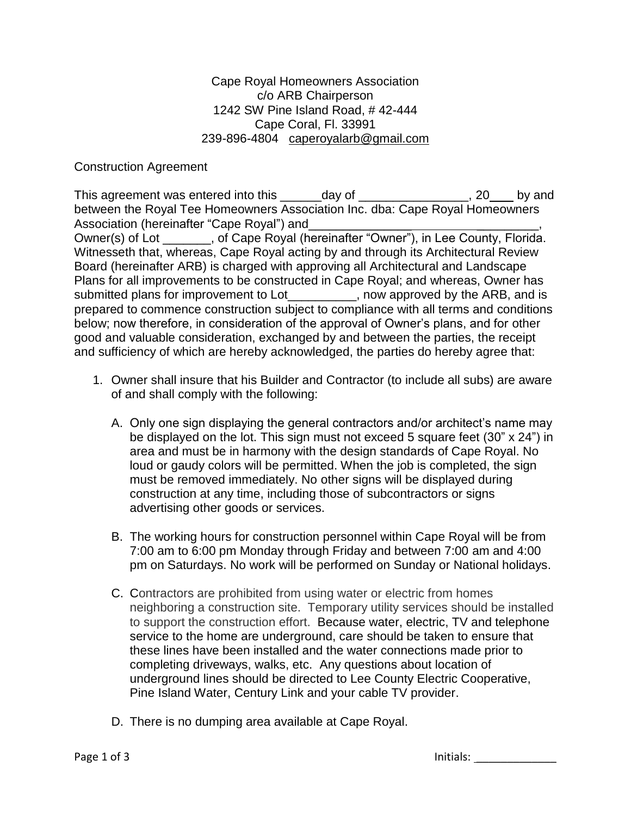Cape Royal Homeowners Association c/o ARB Chairperson 1242 SW Pine Island Road, # 42-444 Cape Coral, Fl. 33991 239-896-4804 [caperoyalarb@gmail.com](mailto:caperoyalarb@gmail.com)

## Construction Agreement

This agreement was entered into this \_\_\_\_\_\_day of \_\_\_\_\_\_\_\_\_\_\_\_\_\_\_, 20\_\_\_ by and between the Royal Tee Homeowners Association Inc. dba: Cape Royal Homeowners Association (hereinafter "Cape Royal") and Owner(s) of Lot \_\_\_\_\_\_\_, of Cape Royal (hereinafter "Owner"), in Lee County, Florida. Witnesseth that, whereas, Cape Royal acting by and through its Architectural Review Board (hereinafter ARB) is charged with approving all Architectural and Landscape Plans for all improvements to be constructed in Cape Royal; and whereas, Owner has submitted plans for improvement to Lot example the Now approved by the ARB, and is prepared to commence construction subject to compliance with all terms and conditions below; now therefore, in consideration of the approval of Owner's plans, and for other good and valuable consideration, exchanged by and between the parties, the receipt and sufficiency of which are hereby acknowledged, the parties do hereby agree that:

- 1. Owner shall insure that his Builder and Contractor (to include all subs) are aware of and shall comply with the following:
	- A. Only one sign displaying the general contractors and/or architect's name may be displayed on the lot. This sign must not exceed 5 square feet (30" x 24") in area and must be in harmony with the design standards of Cape Royal. No loud or gaudy colors will be permitted. When the job is completed, the sign must be removed immediately. No other signs will be displayed during construction at any time, including those of subcontractors or signs advertising other goods or services.
	- B. The working hours for construction personnel within Cape Royal will be from 7:00 am to 6:00 pm Monday through Friday and between 7:00 am and 4:00 pm on Saturdays. No work will be performed on Sunday or National holidays.
	- C. Contractors are prohibited from using water or electric from homes neighboring a construction site. Temporary utility services should be installed to support the construction effort. Because water, electric, TV and telephone service to the home are underground, care should be taken to ensure that these lines have been installed and the water connections made prior to completing driveways, walks, etc. Any questions about location of underground lines should be directed to Lee County Electric Cooperative, Pine Island Water, Century Link and your cable TV provider.
	- D. There is no dumping area available at Cape Royal.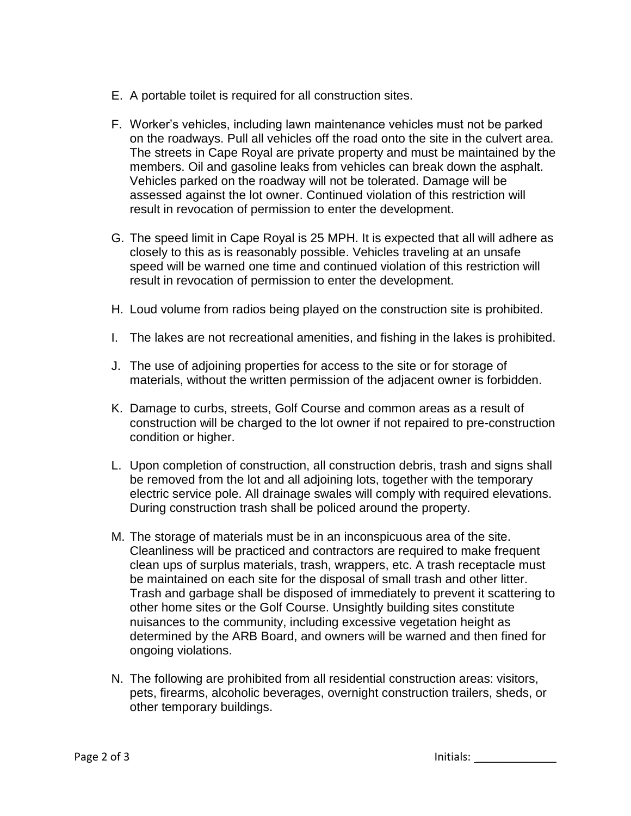- E. A portable toilet is required for all construction sites.
- F. Worker's vehicles, including lawn maintenance vehicles must not be parked on the roadways. Pull all vehicles off the road onto the site in the culvert area. The streets in Cape Royal are private property and must be maintained by the members. Oil and gasoline leaks from vehicles can break down the asphalt. Vehicles parked on the roadway will not be tolerated. Damage will be assessed against the lot owner. Continued violation of this restriction will result in revocation of permission to enter the development.
- G. The speed limit in Cape Royal is 25 MPH. It is expected that all will adhere as closely to this as is reasonably possible. Vehicles traveling at an unsafe speed will be warned one time and continued violation of this restriction will result in revocation of permission to enter the development.
- H. Loud volume from radios being played on the construction site is prohibited.
- I. The lakes are not recreational amenities, and fishing in the lakes is prohibited.
- J. The use of adjoining properties for access to the site or for storage of materials, without the written permission of the adjacent owner is forbidden.
- K. Damage to curbs, streets, Golf Course and common areas as a result of construction will be charged to the lot owner if not repaired to pre-construction condition or higher.
- L. Upon completion of construction, all construction debris, trash and signs shall be removed from the lot and all adjoining lots, together with the temporary electric service pole. All drainage swales will comply with required elevations. During construction trash shall be policed around the property.
- M. The storage of materials must be in an inconspicuous area of the site. Cleanliness will be practiced and contractors are required to make frequent clean ups of surplus materials, trash, wrappers, etc. A trash receptacle must be maintained on each site for the disposal of small trash and other litter. Trash and garbage shall be disposed of immediately to prevent it scattering to other home sites or the Golf Course. Unsightly building sites constitute nuisances to the community, including excessive vegetation height as determined by the ARB Board, and owners will be warned and then fined for ongoing violations.
- N. The following are prohibited from all residential construction areas: visitors, pets, firearms, alcoholic beverages, overnight construction trailers, sheds, or other temporary buildings.